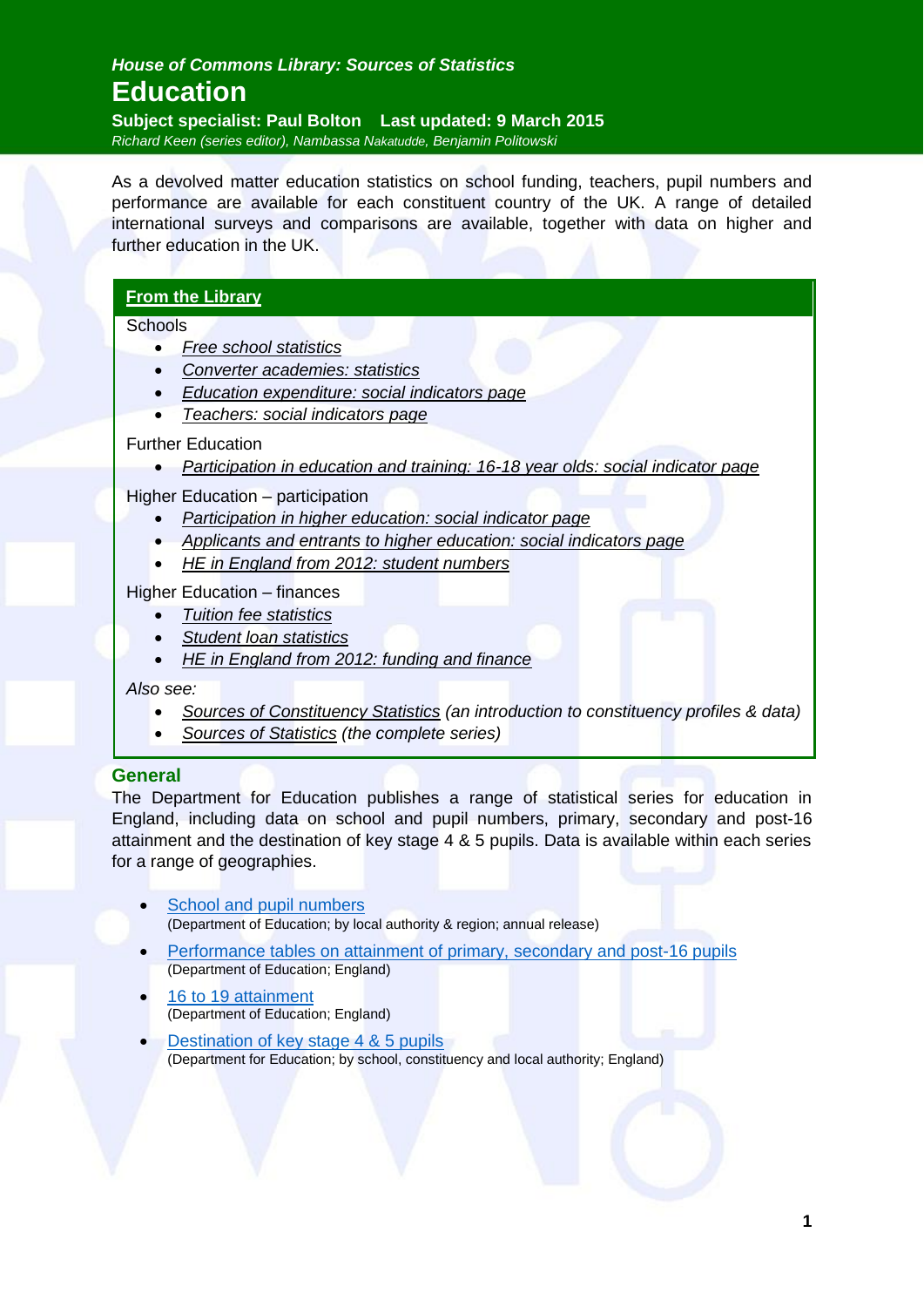# *House of Commons Library: Sources of Statistics* **Education**

**Subject specialist: Paul Bolton Last updated: 9 March 2015** *Richard Keen (series editor), Nambassa Nakatudde, Benjamin Politowski*

As a devolved matter education statistics on school funding, teachers, pupil numbers and performance are available for each constituent country of the UK. A range of detailed international surveys and comparisons are available, together with data on higher and further education in the UK.

## **[From the Library](http://www.parliament.uk/briefing-papers/education/)**

**Schools** 

- *[Free school statistics](http://www.parliament.uk/business/publications/research/briefing-papers/SN07033/free-school-statistics)*
- *[Converter academies: statistics](http://www.parliament.uk/business/publications/research/briefing-papers/SN06233/converter-academies-statistics)*
- *[Education expenditure: social indicators page](http://www.parliament.uk/business/publications/research/briefing-papers/SN02631/education-expenditure-social-indicators-page)*
- *[Teachers: social indicators page](http://www.parliament.uk/business/publications/research/briefing-papers/SN02626/teachers-social-indicators-page)*

#### Further Education

*[Participation in education and training: 16-18 year olds: social indicator page](http://www.parliament.uk/business/publications/research/briefing-papers/SN02628/participation-in-education-and-training-1618-year-olds-social-indicators-page)*

Higher Education – participation

- *[Participation in higher education: social indicator page](http://www.parliament.uk/business/publications/research/briefing-papers/SN02630/participation-in-higher-education-social-indicators-page)*
- *[Applicants and entrants to higher education: social indicators page](http://www.parliament.uk/business/publications/research/briefing-papers/SN02629/applicants-and-entrants-to-higher-education-social-indicators-page)*
- *[HE in England from 2012: student numbers](http://www.parliament.uk/business/publications/research/briefing-papers/SN06205/he-in-england-from-2012-student-numbers)*

Higher Education – finances

- *[Tuition fee statistics](http://www.parliament.uk/business/publications/research/briefing-papers/SN00917/tuition-fee-statistics)*
- *[Student loan statistics](http://www.parliament.uk/business/publications/research/briefing-papers/SN01079/student-loan-statistics)*
- *[HE in England from 2012: funding and finance](http://www.parliament.uk/business/publications/research/briefing-papers/SN06206/he-in-england-from-2012-funding-and-finance)*

*Also see:*

- *[Sources of Constituency Statistics](http://www.parliament.uk/business/publications/research/briefing-papers/SN04191) (an introduction to constituency profiles & data)*
- *[Sources of Statistics](http://www.parliament.uk/briefing-papers/RP15-12) (the complete series)*

#### **General**

The Department for Education publishes a range of statistical series for education in England, including data on school and pupil numbers, primary, secondary and post-16 attainment and the destination of key stage 4 & 5 pupils. Data is available within each series for a range of geographies.

- [School and pupil numbers](https://www.gov.uk/government/collections/statistics-school-and-pupil-numbers) (Department of Education; by local authority & region; annual release)
- [Performance tables on attainment of primary, secondary and post-16 pupils](https://www.gov.uk/government/collections/statistics-performance-tables) (Department of Education; England)
- [16 to 19 attainment](https://www.gov.uk/government/collections/statistics-attainment-at-19-years) (Department of Education; England)
- [Destination of key stage 4 & 5 pupils](https://www.gov.uk/government/collections/statistics-destinations) (Department for Education; by school, constituency and local authority; England)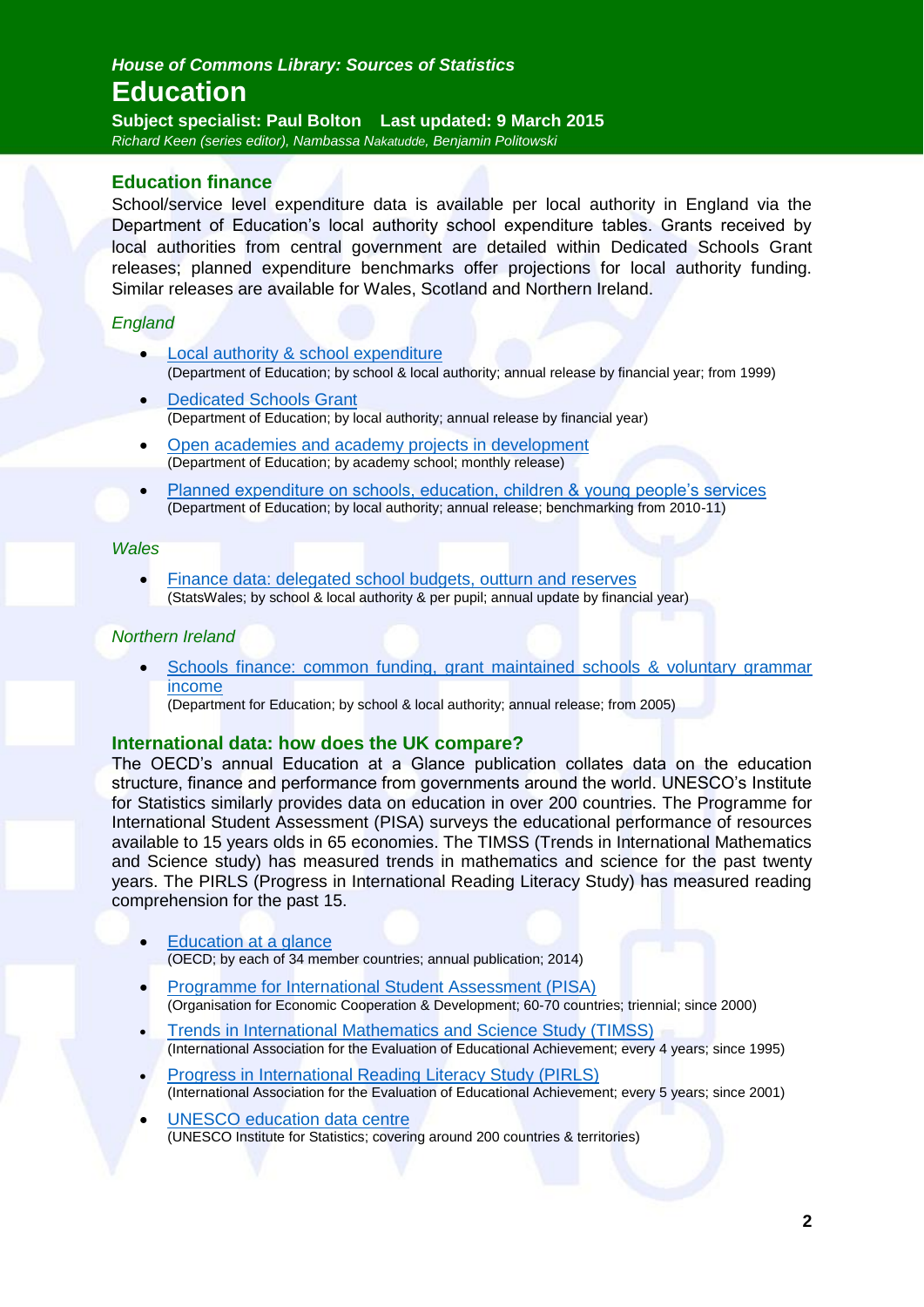**Subject specialist: Paul Bolton Last updated: 9 March 2015** *Richard Keen (series editor), Nambassa Nakatudde, Benjamin Politowski*

### **Education finance**

School/service level expenditure data is available per local authority in England via the Department of Education's local authority school expenditure tables. Grants received by local authorities from central government are detailed within Dedicated Schools Grant releases; planned expenditure benchmarks offer projections for local authority funding. Similar releases are available for Wales, Scotland and Northern Ireland.

#### *England*

- [Local authority & school expenditure](https://www.gov.uk/government/statistics/la-and-school-expenditure-financial-year-2012-to-2013) (Department of Education; by school & local authority; annual release by financial year; from 1999)
- [Dedicated Schools Grant](https://www.gov.uk/schools-colleges-childrens-services/school-college-funding-finance) (Department of Education; by local authority; annual release by financial year)
- [Open academies and academy projects in development](https://www.gov.uk/government/publications/open-academies-and-academy-projects-in-development) (Department of Education; by academy school; monthly release)
- [Planned expenditure on schools, education, children & young people's services](https://www.gov.uk/government/statistics/planned-expenditure-on-schools-education-children-and-young-peoples-services-by-local-authorities-financial-year-2013-to-2014) (Department of Education; by local authority; annual release; benchmarking from 2010-11)

#### *Wales*

 [Finance data: delegated school budgets, outturn and reserves](https://statswales.wales.gov.uk/Catalogue/Education-and-Skills/Schools-and-Teachers/Finance) (StatsWales; by school & local authority & per pupil; annual update by financial year)

#### *Northern Ireland*

 [Schools finance: common funding, grant maintained schools & voluntary grammar](http://www.deni.gov.uk/index/schools-and-infrastructure-2/schools-finance.htm)  [income](http://www.deni.gov.uk/index/schools-and-infrastructure-2/schools-finance.htm)

(Department for Education; by school & local authority; annual release; from 2005)

#### **International data: how does the UK compare?**

The OECD's annual Education at a Glance publication collates data on the education structure, finance and performance from governments around the world. UNESCO's Institute for Statistics similarly provides data on education in over 200 countries. The Programme for International Student Assessment (PISA) surveys the educational performance of resources available to 15 years olds in 65 economies. The TIMSS (Trends in International Mathematics and Science study) has measured trends in mathematics and science for the past twenty years. The PIRLS (Progress in International Reading Literacy Study) has measured reading comprehension for the past 15.

- [Education at a glance](http://www.oecd.org/edu/eag.htm) (OECD; by each of 34 member countries; annual publication; 2014)
- [Programme for International Student Assessment \(PISA\)](http://www.oecd.org/pisa/home/) (Organisation for Economic Cooperation & Development; 60-70 countries; triennial; since 2000)
- [Trends in International Mathematics and Science Study \(TIMSS\)](http://timss.org/) (International Association for the Evaluation of Educational Achievement; every 4 years; since 1995)
- [Progress in International Reading Literacy Study \(PIRLS\)](http://timss.org/) (International Association for the Evaluation of Educational Achievement; every 5 years; since 2001)
- [UNESCO education data centre](http://www.uis.unesco.org/Education/Pages/default.aspx) (UNESCO Institute for Statistics; covering around 200 countries & territories)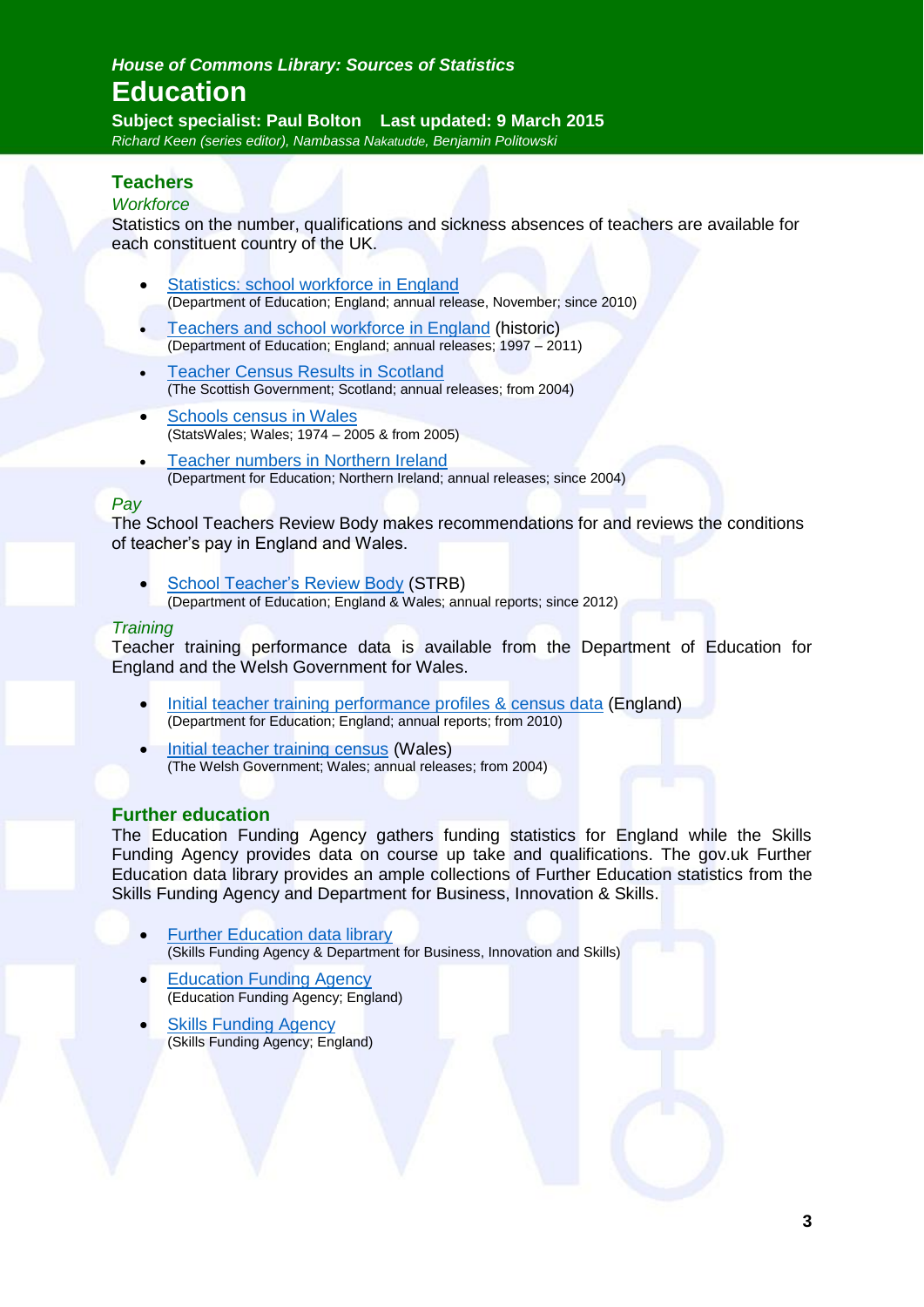**Subject specialist: Paul Bolton Last updated: 9 March 2015** *Richard Keen (series editor), Nambassa Nakatudde, Benjamin Politowski*

# **Teachers**

#### *Workforce*

Statistics on the number, qualifications and sickness absences of teachers are available for each constituent country of the UK.

- [Statistics: school workforce in England](https://www.gov.uk/government/collections/statistics-school-workforce) (Department of Education; England; annual release, November; since 2010)
- [Teachers and school workforce in England](http://webarchive.nationalarchives.gov.uk/20130401151655/http:/www.education.gov.uk/researchandstatistics/statistics/statistics-by-topic/teachersandschoolworkforce?page=1) (historic) (Department of Education; England; annual releases; 1997 – 2011)
- [Teacher Census Results in Scotland](http://www.gov.scot/Topics/Statistics/Browse/School-Education/PubTeacherCensus) (The Scottish Government; Scotland; annual releases; from 2004)
- [Schools census in Wales](https://statswales.wales.gov.uk/Catalogue/Education-and-Skills/Schools-and-Teachers/Schools-Census) (StatsWales; Wales; 1974 – 2005 & from 2005)
- [Teacher numbers in Northern Ireland](http://www.deni.gov.uk/index/facts-and-figures-new/education-statistics/32_statistics_on_education_teacher_numbers_pg.htm) (Department for Education; Northern Ireland; annual releases; since 2004)

#### *Pay*

The School Teachers Review Body makes recommendations for and reviews the conditions of teacher's pay in England and Wales.

 [School Teacher's Review Body](https://www.gov.uk/government/collections/school-teachers-review-body-strb-reports) (STRB) (Department of Education; England & Wales; annual reports; since 2012)

#### *Training*

Teacher training performance data is available from the Department of Education for England and the Welsh Government for Wales.

- [Initial teacher training performance profiles & census data](https://www.gov.uk/government/collections/statistics-teacher-training) (England) (Department for Education; England; annual reports; from 2010)
- [Initial teacher training census](http://wales.gov.uk/statistics-and-research/initial-teacher-training/?lang=en#/statistics-and-research/initial-teacher-training/?lang=en) (Wales) (The Welsh Government; Wales; annual releases; from 2004)

### **Further education**

The Education Funding Agency gathers funding statistics for England while the Skills Funding Agency provides data on course up take and qualifications. The gov.uk Further Education data library provides an ample collections of Further Education statistics from the Skills Funding Agency and Department for Business, Innovation & Skills.

- [Further Education data library](https://www.gov.uk/government/collections/fe-data-library) (Skills Funding Agency & Department for Business, Innovation and Skills)
- [Education Funding Agency](https://www.gov.uk/government/organisations/education-funding-agency) (Education Funding Agency; England)
- [Skills Funding Agency](https://www.gov.uk/government/organisations/skills-funding-agency)  (Skills Funding Agency; England)